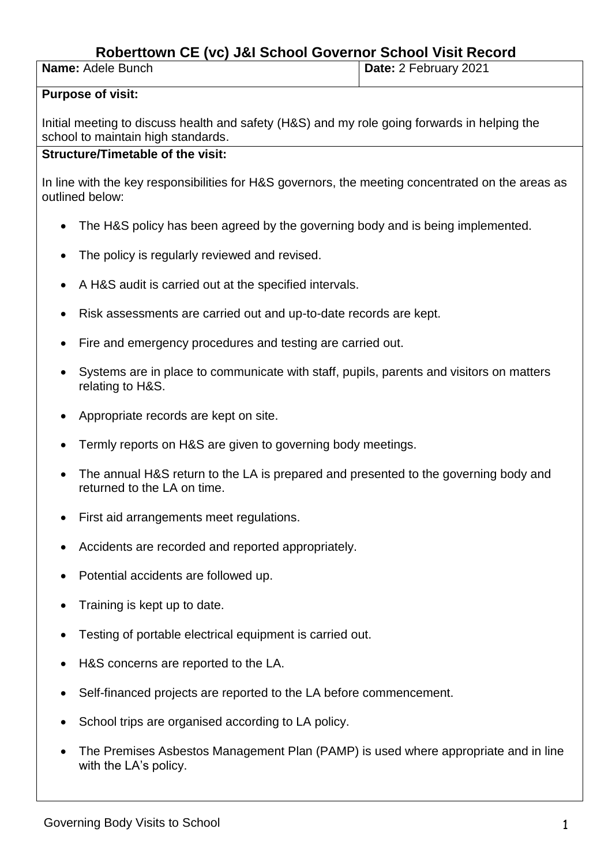# **Roberttown CE (vc) J&I School Governor School Visit Record**

**Name:** Adele Bunch **Date:** 2 February 2021

#### **Purpose of visit:**

Initial meeting to discuss health and safety (H&S) and my role going forwards in helping the school to maintain high standards.

### **Structure/Timetable of the visit:**

In line with the key responsibilities for H&S governors, the meeting concentrated on the areas as outlined below:

- The H&S policy has been agreed by the governing body and is being implemented.
- The policy is regularly reviewed and revised.
- A H&S audit is carried out at the specified intervals.
- Risk assessments are carried out and up-to-date records are kept.
- Fire and emergency procedures and testing are carried out.
- Systems are in place to communicate with staff, pupils, parents and visitors on matters relating to H&S.
- Appropriate records are kept on site.
- Termly reports on H&S are given to governing body meetings.
- The annual H&S return to the LA is prepared and presented to the governing body and returned to the LA on time.
- First aid arrangements meet regulations.
- Accidents are recorded and reported appropriately.
- Potential accidents are followed up.
- Training is kept up to date.
- Testing of portable electrical equipment is carried out.
- H&S concerns are reported to the LA.
- Self-financed projects are reported to the LA before commencement.
- School trips are organised according to LA policy.
- The Premises Asbestos Management Plan (PAMP) is used where appropriate and in line with the LA's policy.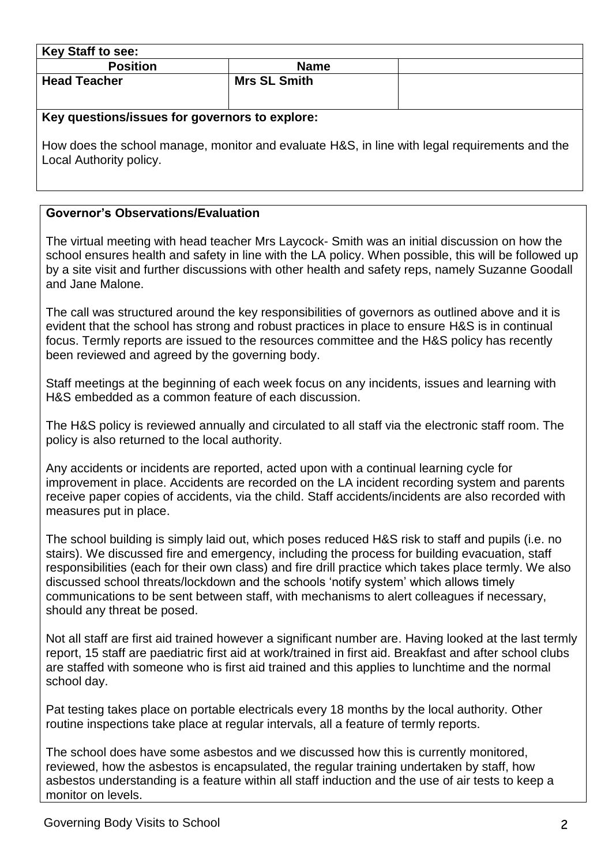| <b>Key Staff to see:</b>                       |                     |  |
|------------------------------------------------|---------------------|--|
| <b>Position</b>                                | <b>Name</b>         |  |
| <b>Head Teacher</b>                            | <b>Mrs SL Smith</b> |  |
| Key questions/issues for governors to explore: |                     |  |

How does the school manage, monitor and evaluate H&S, in line with legal requirements and the Local Authority policy.

# **Governor's Observations/Evaluation**

The virtual meeting with head teacher Mrs Laycock- Smith was an initial discussion on how the school ensures health and safety in line with the LA policy. When possible, this will be followed up by a site visit and further discussions with other health and safety reps, namely Suzanne Goodall and Jane Malone.

The call was structured around the key responsibilities of governors as outlined above and it is evident that the school has strong and robust practices in place to ensure H&S is in continual focus. Termly reports are issued to the resources committee and the H&S policy has recently been reviewed and agreed by the governing body.

Staff meetings at the beginning of each week focus on any incidents, issues and learning with H&S embedded as a common feature of each discussion.

The H&S policy is reviewed annually and circulated to all staff via the electronic staff room. The policy is also returned to the local authority.

Any accidents or incidents are reported, acted upon with a continual learning cycle for improvement in place. Accidents are recorded on the LA incident recording system and parents receive paper copies of accidents, via the child. Staff accidents/incidents are also recorded with measures put in place.

The school building is simply laid out, which poses reduced H&S risk to staff and pupils (i.e. no stairs). We discussed fire and emergency, including the process for building evacuation, staff responsibilities (each for their own class) and fire drill practice which takes place termly. We also discussed school threats/lockdown and the schools 'notify system' which allows timely communications to be sent between staff, with mechanisms to alert colleagues if necessary, should any threat be posed.

Not all staff are first aid trained however a significant number are. Having looked at the last termly report, 15 staff are paediatric first aid at work/trained in first aid. Breakfast and after school clubs are staffed with someone who is first aid trained and this applies to lunchtime and the normal school day.

Pat testing takes place on portable electricals every 18 months by the local authority. Other routine inspections take place at regular intervals, all a feature of termly reports.

The school does have some asbestos and we discussed how this is currently monitored, reviewed, how the asbestos is encapsulated, the regular training undertaken by staff, how asbestos understanding is a feature within all staff induction and the use of air tests to keep a monitor on levels.